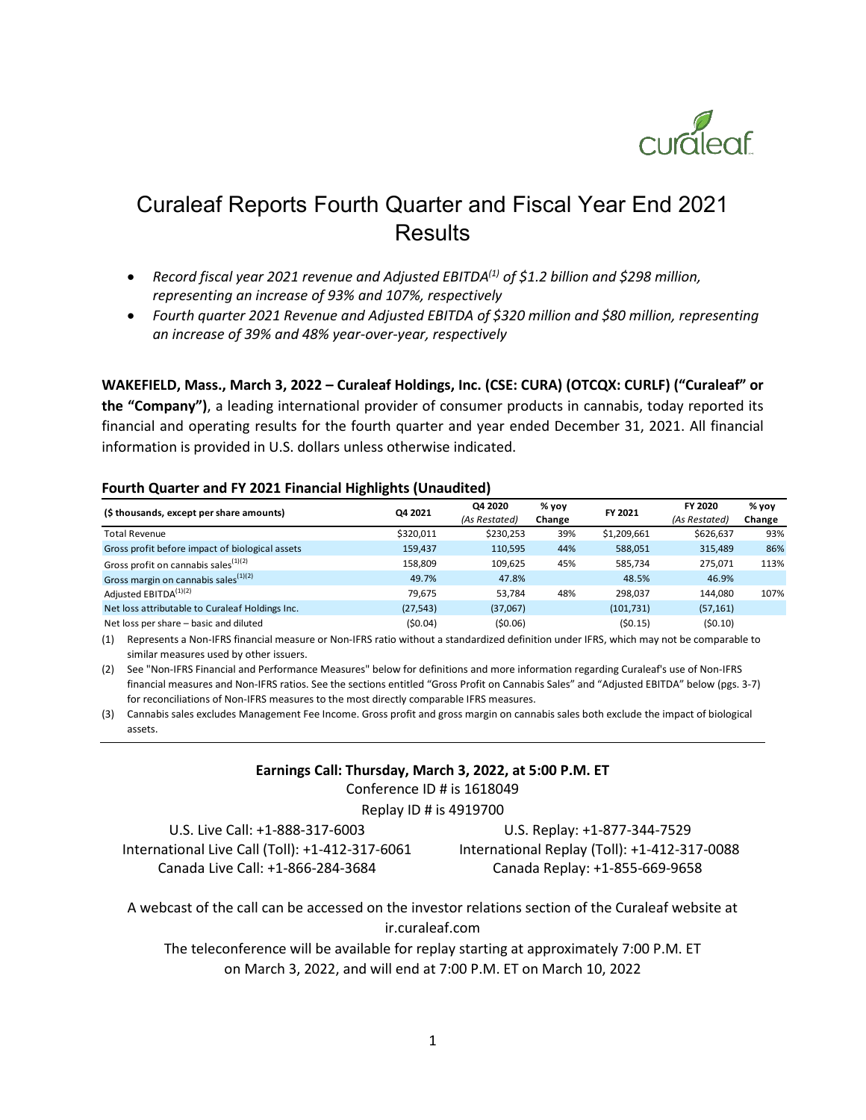

# Curaleaf Reports Fourth Quarter and Fiscal Year End 2021 Results

- *Record fiscal year 2021 revenue and Adjusted EBITDA(1) of \$1.2 billion and \$298 million, representing an increase of 93% and 107%, respectively*
- *Fourth quarter 2021 Revenue and Adjusted EBITDA of \$320 million and \$80 million, representing an increase of 39% and 48% year-over-year, respectively*

**WAKEFIELD, Mass., March 3, 2022 – Curaleaf Holdings, Inc. (CSE: CURA) (OTCQX: CURLF) ("Curaleaf" or the "Company")**, a leading international provider of consumer products in cannabis, today reported its financial and operating results for the fourth quarter and year ended December 31, 2021. All financial information is provided in U.S. dollars unless otherwise indicated.

#### **Fourth Quarter and FY 2021 Financial Highlights (Unaudited)**

| (\$ thousands, except per share amounts)         | Q4 2021   | Q4 2020<br>(As Restated) | % yoy<br>Change | FY 2021     | FY 2020<br>(As Restated) | % yoy<br>Change |
|--------------------------------------------------|-----------|--------------------------|-----------------|-------------|--------------------------|-----------------|
| <b>Total Revenue</b>                             | \$320,011 | \$230,253                | 39%             | \$1,209,661 | \$626,637                | 93%             |
| Gross profit before impact of biological assets  | 159,437   | 110,595                  | 44%             | 588,051     | 315,489                  | 86%             |
| Gross profit on cannabis sales <sup>(1)(2)</sup> | 158,809   | 109,625                  | 45%             | 585,734     | 275,071                  | 113%            |
| Gross margin on cannabis sales <sup>(1)(2)</sup> | 49.7%     | 47.8%                    |                 | 48.5%       | 46.9%                    |                 |
| Adjusted EBITDA <sup>(1)(2)</sup>                | 79.675    | 53.784                   | 48%             | 298.037     | 144.080                  | 107%            |
| Net loss attributable to Curaleaf Holdings Inc.  | (27, 543) | (37,067)                 |                 | (101, 731)  | (57, 161)                |                 |
| Net loss per share - basic and diluted           | (50.04)   | (50.06)                  |                 | (50.15)     | (50.10)                  |                 |

(1) Represents a Non-IFRS financial measure or Non-IFRS ratio without a standardized definition under IFRS, which may not be comparable to similar measures used by other issuers.

(2) See "Non-IFRS Financial and Performance Measures" below for definitions and more information regarding Curaleaf's use of Non-IFRS financial measures and Non-IFRS ratios. See the sections entitled "Gross Profit on Cannabis Sales" and "Adjusted EBITDA" below (pgs. 3-7) for reconciliations of Non-IFRS measures to the most directly comparable IFRS measures.

(3) Cannabis sales excludes Management Fee Income. Gross profit and gross margin on cannabis sales both exclude the impact of biological assets.

#### **Earnings Call: Thursday, March 3, 2022, at 5:00 P.M. ET**

Conference ID # is 1618049

Replay ID # is 4919700

U.S. Live Call: +1-888-317-6003 U.S. Replay: +1-877-344-7529 International Live Call (Toll): +1-412-317-6061 International Replay (Toll): +1-412-317-0088 Canada Live Call: +1-866-284-3684 Canada Replay: +1-855-669-9658

A webcast of the call can be accessed on the investor relations section of the Curaleaf website at ir.curaleaf.com

The teleconference will be available for replay starting at approximately 7:00 P.M. ET on March 3, 2022, and will end at 7:00 P.M. ET on March 10, 2022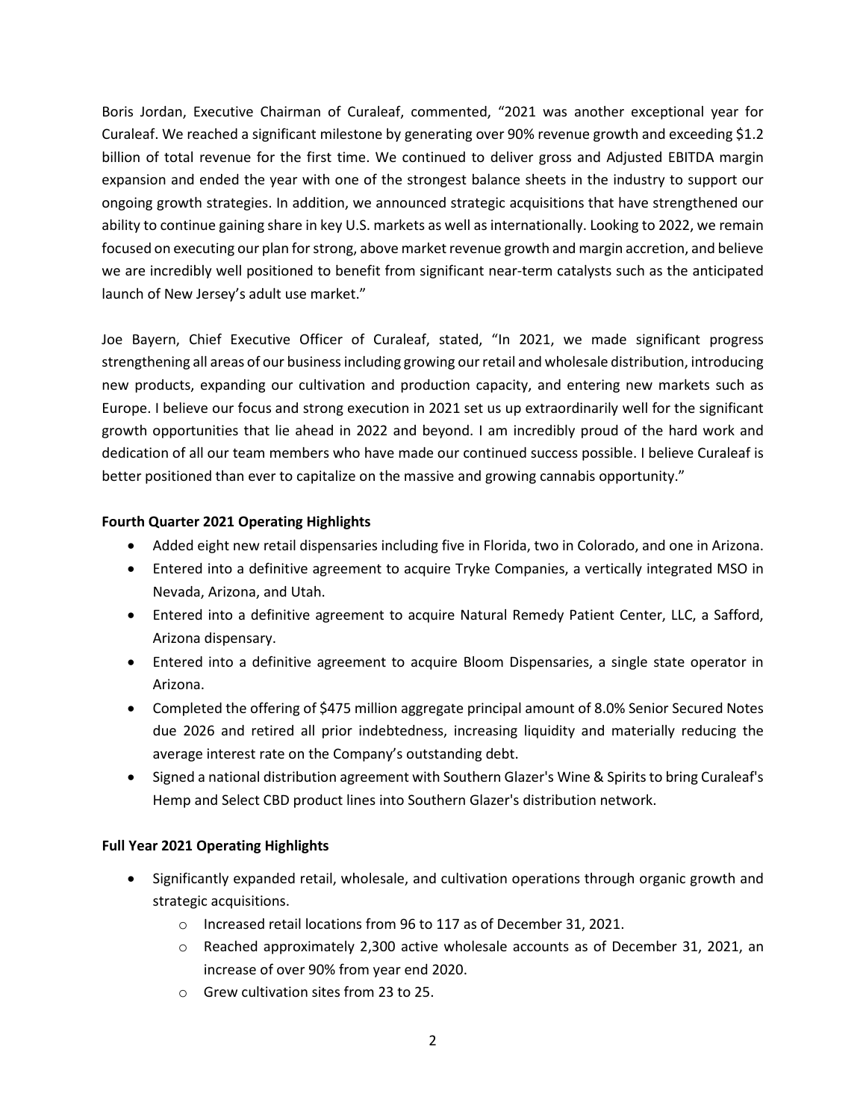Boris Jordan, Executive Chairman of Curaleaf, commented, "2021 was another exceptional year for Curaleaf. We reached a significant milestone by generating over 90% revenue growth and exceeding \$1.2 billion of total revenue for the first time. We continued to deliver gross and Adjusted EBITDA margin expansion and ended the year with one of the strongest balance sheets in the industry to support our ongoing growth strategies. In addition, we announced strategic acquisitions that have strengthened our ability to continue gaining share in key U.S. markets as well as internationally. Looking to 2022, we remain focused on executing our plan for strong, above market revenue growth and margin accretion, and believe we are incredibly well positioned to benefit from significant near-term catalysts such as the anticipated launch of New Jersey's adult use market."

Joe Bayern, Chief Executive Officer of Curaleaf, stated, "In 2021, we made significant progress strengthening all areas of our business including growing ourretail and wholesale distribution, introducing new products, expanding our cultivation and production capacity, and entering new markets such as Europe. I believe our focus and strong execution in 2021 set us up extraordinarily well for the significant growth opportunities that lie ahead in 2022 and beyond. I am incredibly proud of the hard work and dedication of all our team members who have made our continued success possible. I believe Curaleaf is better positioned than ever to capitalize on the massive and growing cannabis opportunity."

# **Fourth Quarter 2021 Operating Highlights**

- Added eight new retail dispensaries including five in Florida, two in Colorado, and one in Arizona.
- Entered into a definitive agreement to acquire Tryke Companies, a vertically integrated MSO in Nevada, Arizona, and Utah.
- Entered into a definitive agreement to acquire Natural Remedy Patient Center, LLC, a Safford, Arizona dispensary.
- Entered into a definitive agreement to acquire Bloom Dispensaries, a single state operator in Arizona.
- Completed the offering of \$475 million aggregate principal amount of 8.0% Senior Secured Notes due 2026 and retired all prior indebtedness, increasing liquidity and materially reducing the average interest rate on the Company's outstanding debt.
- Signed a national distribution agreement with Southern Glazer's Wine & Spirits to bring Curaleaf's Hemp and Select CBD product lines into Southern Glazer's distribution network.

### **Full Year 2021 Operating Highlights**

- Significantly expanded retail, wholesale, and cultivation operations through organic growth and strategic acquisitions.
	- o Increased retail locations from 96 to 117 as of December 31, 2021.
	- $\circ$  Reached approximately 2,300 active wholesale accounts as of December 31, 2021, an increase of over 90% from year end 2020.
	- o Grew cultivation sites from 23 to 25.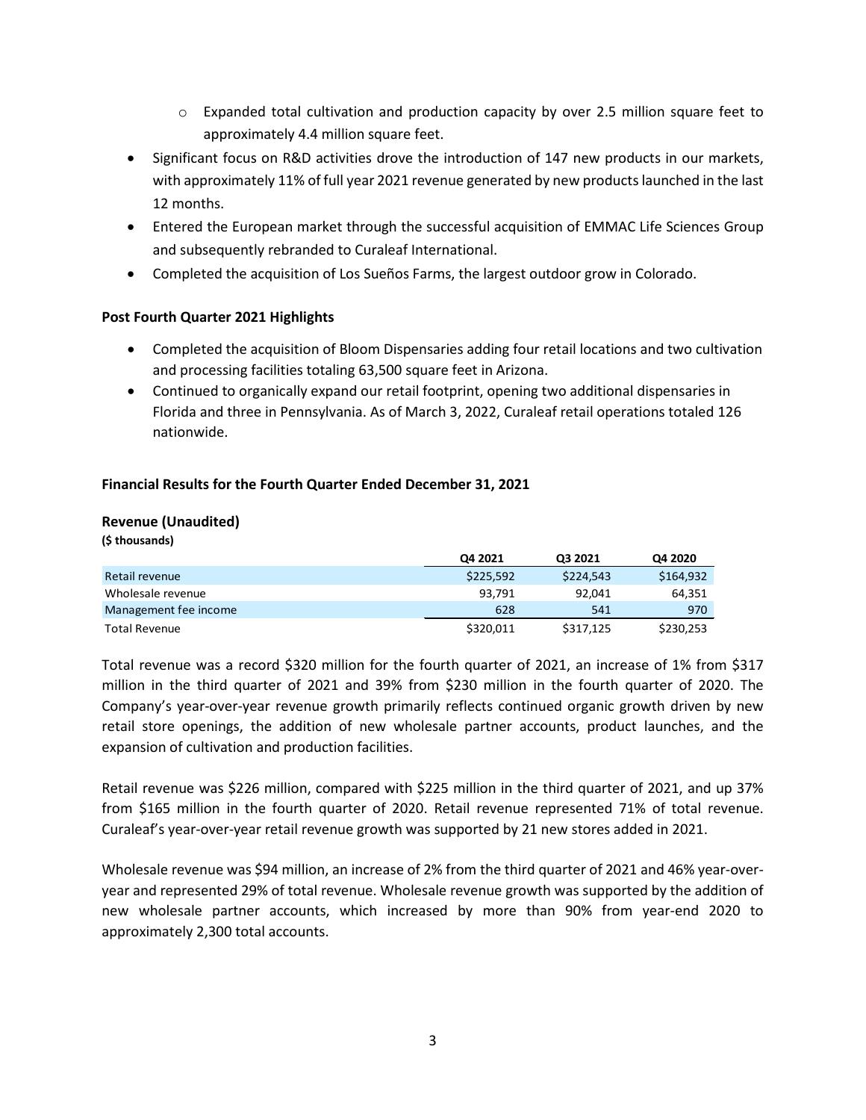- $\circ$  Expanded total cultivation and production capacity by over 2.5 million square feet to approximately 4.4 million square feet.
- Significant focus on R&D activities drove the introduction of 147 new products in our markets, with approximately 11% of full year 2021 revenue generated by new products launched in the last 12 months.
- Entered the European market through the successful acquisition of EMMAC Life Sciences Group and subsequently rebranded to Curaleaf International.
- Completed the acquisition of Los Sueños Farms, the largest outdoor grow in Colorado.

# **Post Fourth Quarter 2021 Highlights**

- Completed the acquisition of Bloom Dispensaries adding four retail locations and two cultivation and processing facilities totaling 63,500 square feet in Arizona.
- Continued to organically expand our retail footprint, opening two additional dispensaries in Florida and three in Pennsylvania. As of March 3, 2022, Curaleaf retail operations totaled 126 nationwide.

# **Financial Results for the Fourth Quarter Ended December 31, 2021**

# **Revenue (Unaudited)**

**(\$ thousands)**

|                       | Q4 2021   | Q3 2021   | Q4 2020   |
|-----------------------|-----------|-----------|-----------|
| Retail revenue        | \$225.592 | \$224.543 | \$164.932 |
| Wholesale revenue     | 93.791    | 92.041    | 64,351    |
| Management fee income | 628       | 541       | 970       |
| Total Revenue         | \$320.011 | \$317,125 | \$230,253 |

Total revenue was a record \$320 million for the fourth quarter of 2021, an increase of 1% from \$317 million in the third quarter of 2021 and 39% from \$230 million in the fourth quarter of 2020. The Company's year-over-year revenue growth primarily reflects continued organic growth driven by new retail store openings, the addition of new wholesale partner accounts, product launches, and the expansion of cultivation and production facilities.

Retail revenue was \$226 million, compared with \$225 million in the third quarter of 2021, and up 37% from \$165 million in the fourth quarter of 2020. Retail revenue represented 71% of total revenue. Curaleaf's year-over-year retail revenue growth was supported by 21 new stores added in 2021.

Wholesale revenue was \$94 million, an increase of 2% from the third quarter of 2021 and 46% year-overyear and represented 29% of total revenue. Wholesale revenue growth was supported by the addition of new wholesale partner accounts, which increased by more than 90% from year-end 2020 to approximately 2,300 total accounts.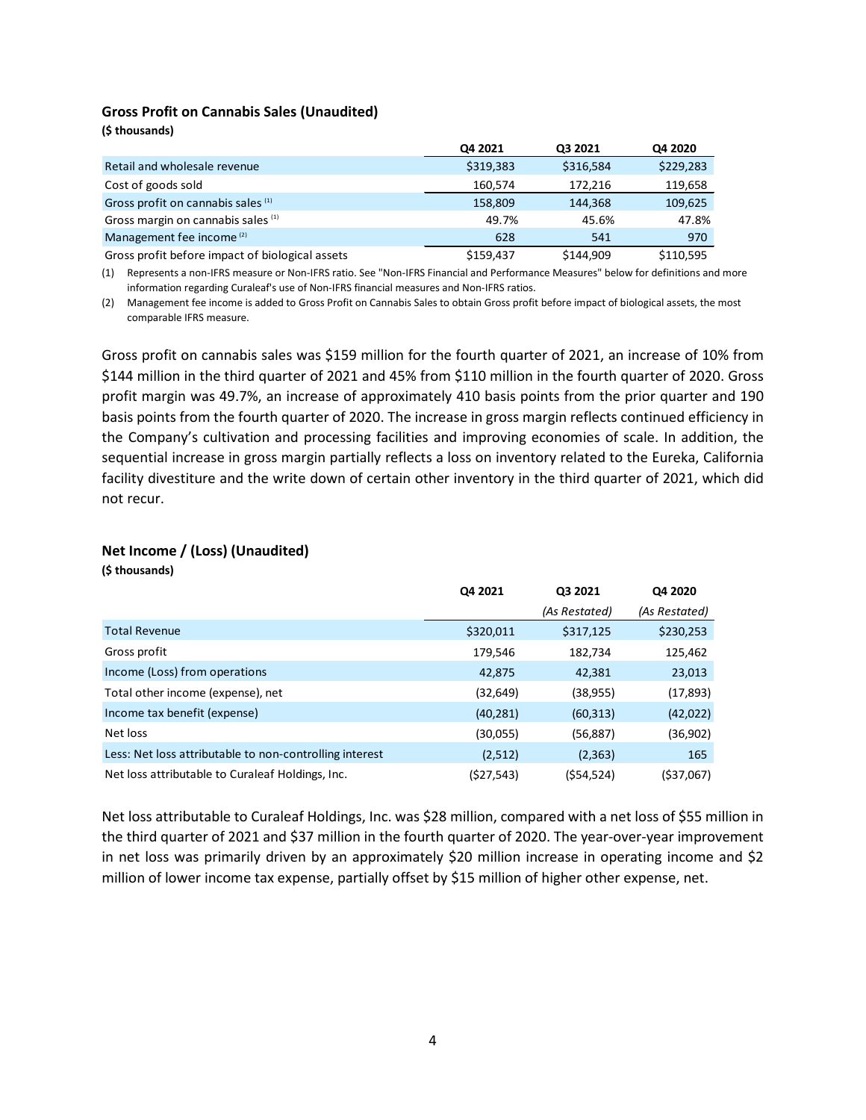#### **Gross Profit on Cannabis Sales (Unaudited)**

|                                                 | Q4 2021   | Q3 2021   | Q4 2020   |
|-------------------------------------------------|-----------|-----------|-----------|
| Retail and wholesale revenue                    | \$319,383 | \$316,584 | \$229,283 |
| Cost of goods sold                              | 160,574   | 172.216   | 119,658   |
| Gross profit on cannabis sales (1)              | 158,809   | 144,368   | 109,625   |
| Gross margin on cannabis sales (1)              | 49.7%     | 45.6%     | 47.8%     |
| Management fee income <sup>(2)</sup>            | 628       | 541       | 970       |
| Gross profit before impact of biological assets | \$159.437 | \$144,909 | \$110.595 |

(1) Represents a non-IFRS measure or Non-IFRS ratio. See "Non-IFRS Financial and Performance Measures" below for definitions and more information regarding Curaleaf's use of Non-IFRS financial measures and Non-IFRS ratios.

(2) Management fee income is added to Gross Profit on Cannabis Sales to obtain Gross profit before impact of biological assets, the most comparable IFRS measure.

Gross profit on cannabis sales was \$159 million for the fourth quarter of 2021, an increase of 10% from \$144 million in the third quarter of 2021 and 45% from \$110 million in the fourth quarter of 2020. Gross profit margin was 49.7%, an increase of approximately 410 basis points from the prior quarter and 190 basis points from the fourth quarter of 2020. The increase in gross margin reflects continued efficiency in the Company's cultivation and processing facilities and improving economies of scale. In addition, the sequential increase in gross margin partially reflects a loss on inventory related to the Eureka, California facility divestiture and the write down of certain other inventory in the third quarter of 2021, which did not recur.

#### **Net Income / (Loss) (Unaudited)**

**(\$ thousands)**

**(\$ thousands)**

| Q3 2021<br>Q4 2020             |                                                                   |
|--------------------------------|-------------------------------------------------------------------|
| (As Restated)<br>(As Restated) |                                                                   |
| \$230,253<br>\$317,125         |                                                                   |
| 125,462<br>182,734             |                                                                   |
| 42,381                         |                                                                   |
| (38,955)                       |                                                                   |
| (60, 313)                      |                                                                   |
| (56,887)                       |                                                                   |
| (2, 363)                       |                                                                   |
| (\$54,524)                     |                                                                   |
|                                | 23,013<br>(17, 893)<br>(42, 022)<br>(36,902)<br>165<br>(\$37,067) |

Net loss attributable to Curaleaf Holdings, Inc. was \$28 million, compared with a net loss of \$55 million in the third quarter of 2021 and \$37 million in the fourth quarter of 2020. The year-over-year improvement in net loss was primarily driven by an approximately \$20 million increase in operating income and \$2 million of lower income tax expense, partially offset by \$15 million of higher other expense, net.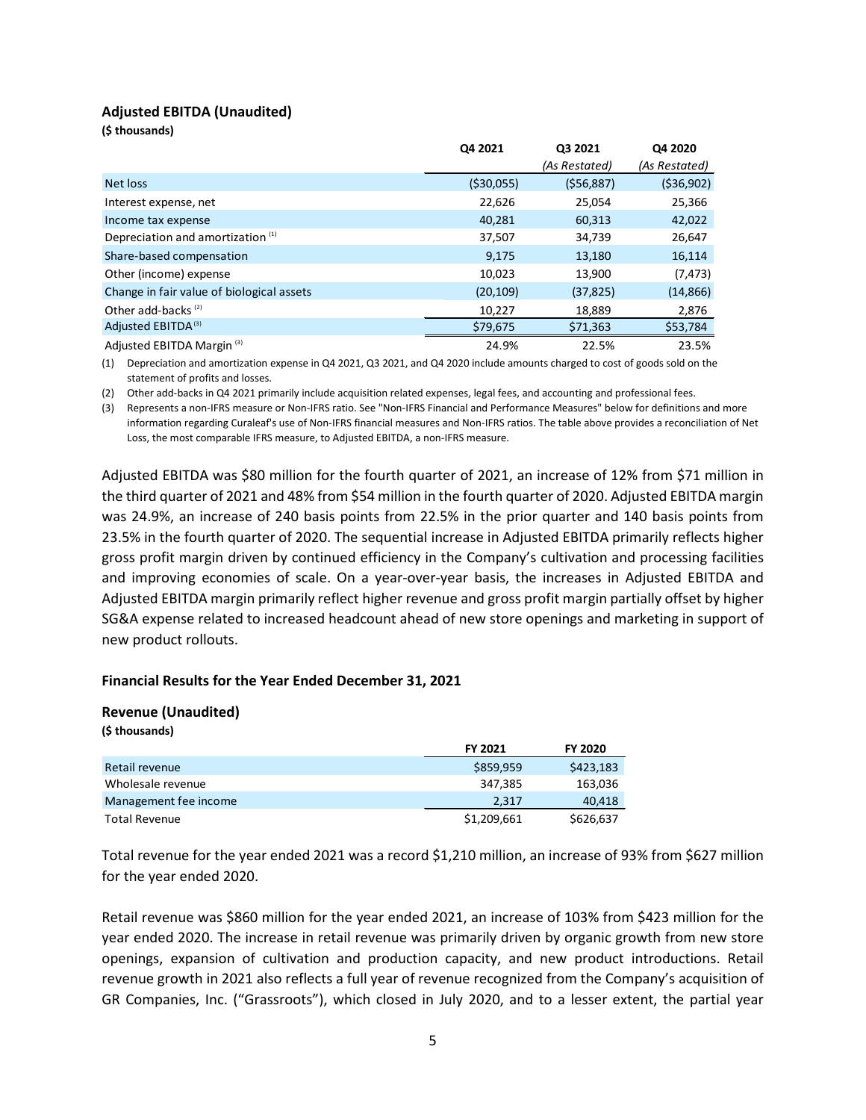## **Adjusted EBITDA (Unaudited)**

**(\$ thousands)**

|                                              | Q4 2021     | Q3 2021       | Q4 2020       |
|----------------------------------------------|-------------|---------------|---------------|
|                                              |             | (As Restated) | (As Restated) |
| Net loss                                     | ( \$30,055) | (556, 887)    | (536,902)     |
| Interest expense, net                        | 22,626      | 25,054        | 25,366        |
| Income tax expense                           | 40,281      | 60,313        | 42,022        |
| Depreciation and amortization <sup>(1)</sup> | 37,507      | 34,739        | 26,647        |
| Share-based compensation                     | 9,175       | 13,180        | 16,114        |
| Other (income) expense                       | 10,023      | 13,900        | (7, 473)      |
| Change in fair value of biological assets    | (20, 109)   | (37, 825)     | (14, 866)     |
| Other add-backs <sup>(2)</sup>               | 10,227      | 18,889        | 2,876         |
| Adjusted EBITDA <sup>(3)</sup>               | \$79,675    | \$71,363      | \$53,784      |
| Adjusted EBITDA Margin <sup>(3)</sup>        | 24.9%       | 22.5%         | 23.5%         |

(1) Depreciation and amortization expense in Q4 2021, Q3 2021, and Q4 2020 include amounts charged to cost of goods sold on the statement of profits and losses.

(2) Other add-backs in Q4 2021 primarily include acquisition related expenses, legal fees, and accounting and professional fees.

(3) Represents a non-IFRS measure or Non-IFRS ratio. See "Non-IFRS Financial and Performance Measures" below for definitions and more information regarding Curaleaf's use of Non-IFRS financial measures and Non-IFRS ratios. The table above provides a reconciliation of Net Loss, the most comparable IFRS measure, to Adjusted EBITDA, a non-IFRS measure.

Adjusted EBITDA was \$80 million for the fourth quarter of 2021, an increase of 12% from \$71 million in the third quarter of 2021 and 48% from \$54 million in the fourth quarter of 2020. Adjusted EBITDA margin was 24.9%, an increase of 240 basis points from 22.5% in the prior quarter and 140 basis points from 23.5% in the fourth quarter of 2020. The sequential increase in Adjusted EBITDA primarily reflects higher gross profit margin driven by continued efficiency in the Company's cultivation and processing facilities and improving economies of scale. On a year-over-year basis, the increases in Adjusted EBITDA and Adjusted EBITDA margin primarily reflect higher revenue and gross profit margin partially offset by higher SG&A expense related to increased headcount ahead of new store openings and marketing in support of new product rollouts.

### **Financial Results for the Year Ended December 31, 2021**

# **Revenue (Unaudited)**

| (\$ thousands)        |                |                |
|-----------------------|----------------|----------------|
|                       | <b>FY 2021</b> | <b>FY 2020</b> |
| Retail revenue        | \$859,959      | \$423,183      |
| Wholesale revenue     | 347,385        | 163,036        |
| Management fee income | 2.317          | 40,418         |
| <b>Total Revenue</b>  | \$1,209,661    | \$626,637      |

Total revenue for the year ended 2021 was a record \$1,210 million, an increase of 93% from \$627 million for the year ended 2020.

Retail revenue was \$860 million for the year ended 2021, an increase of 103% from \$423 million for the year ended 2020. The increase in retail revenue was primarily driven by organic growth from new store openings, expansion of cultivation and production capacity, and new product introductions. Retail revenue growth in 2021 also reflects a full year of revenue recognized from the Company's acquisition of GR Companies, Inc. ("Grassroots"), which closed in July 2020, and to a lesser extent, the partial year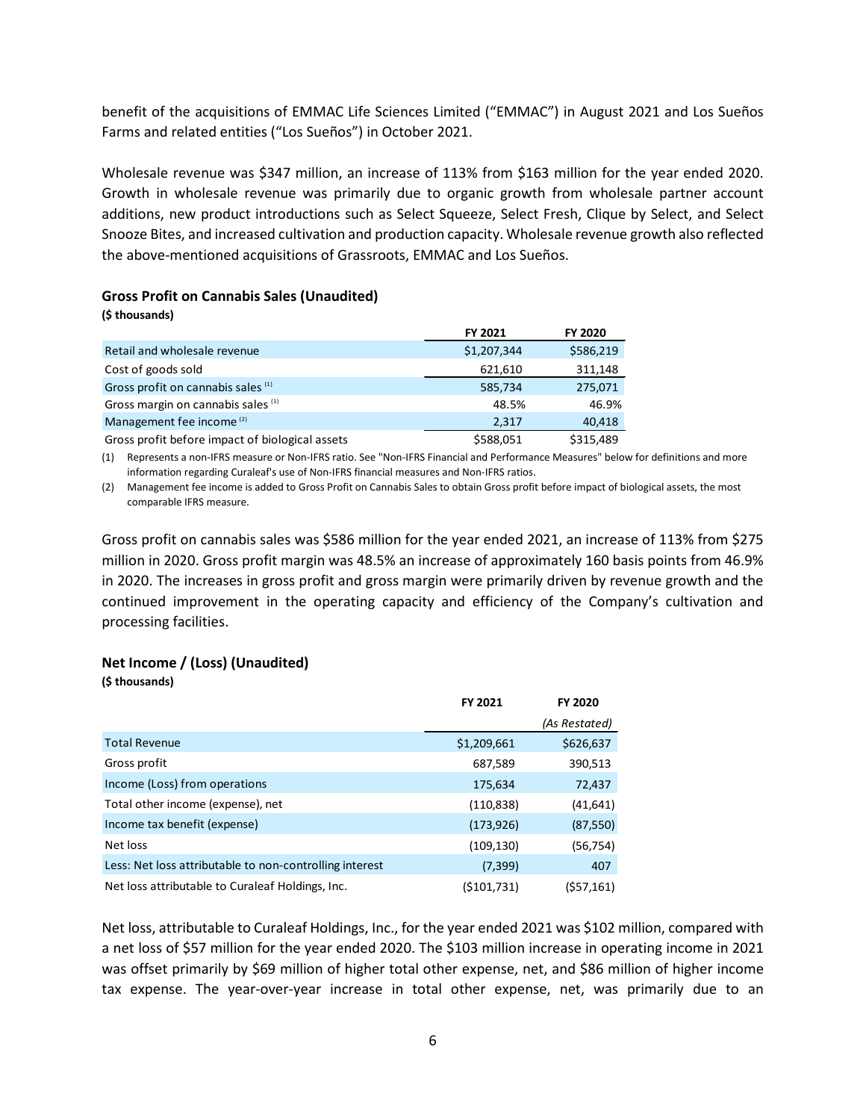benefit of the acquisitions of EMMAC Life Sciences Limited ("EMMAC") in August 2021 and Los Sueños Farms and related entities ("Los Sueños") in October 2021.

Wholesale revenue was \$347 million, an increase of 113% from \$163 million for the year ended 2020. Growth in wholesale revenue was primarily due to organic growth from wholesale partner account additions, new product introductions such as Select Squeeze, Select Fresh, Clique by Select, and Select Snooze Bites, and increased cultivation and production capacity. Wholesale revenue growth also reflected the above-mentioned acquisitions of Grassroots, EMMAC and Los Sueños.

#### **Gross Profit on Cannabis Sales (Unaudited)**

| (\$ thousands)                                  |                |                |
|-------------------------------------------------|----------------|----------------|
|                                                 | <b>FY 2021</b> | <b>FY 2020</b> |
| Retail and wholesale revenue                    | \$1,207,344    | \$586,219      |
| Cost of goods sold                              | 621,610        | 311,148        |
| Gross profit on cannabis sales (1)              | 585,734        | 275,071        |
| Gross margin on cannabis sales (1)              | 48.5%          | 46.9%          |
| Management fee income <sup>(2)</sup>            | 2.317          | 40,418         |
| Gross profit before impact of biological assets | \$588,051      | \$315,489      |

(1) Represents a non-IFRS measure or Non-IFRS ratio. See "Non-IFRS Financial and Performance Measures" below for definitions and more information regarding Curaleaf's use of Non-IFRS financial measures and Non-IFRS ratios.

(2) Management fee income is added to Gross Profit on Cannabis Sales to obtain Gross profit before impact of biological assets, the most comparable IFRS measure.

Gross profit on cannabis sales was \$586 million for the year ended 2021, an increase of 113% from \$275 million in 2020. Gross profit margin was 48.5% an increase of approximately 160 basis points from 46.9% in 2020. The increases in gross profit and gross margin were primarily driven by revenue growth and the continued improvement in the operating capacity and efficiency of the Company's cultivation and processing facilities.

#### **Net Income / (Loss) (Unaudited)**

**(\$ thousands)**

|                                                         | FY 2021     | <b>FY 2020</b> |
|---------------------------------------------------------|-------------|----------------|
|                                                         |             | (As Restated)  |
| <b>Total Revenue</b>                                    | \$1,209,661 | \$626,637      |
| Gross profit                                            | 687,589     | 390,513        |
| Income (Loss) from operations                           | 175,634     | 72,437         |
| Total other income (expense), net                       | (110, 838)  | (41, 641)      |
| Income tax benefit (expense)                            | (173, 926)  | (87, 550)      |
| Net loss                                                | (109, 130)  | (56,754)       |
| Less: Net loss attributable to non-controlling interest | (7, 399)    | 407            |
| Net loss attributable to Curaleaf Holdings, Inc.        | (5101,731)  | (557, 161)     |

Net loss, attributable to Curaleaf Holdings, Inc., for the year ended 2021 was \$102 million, compared with a net loss of \$57 million for the year ended 2020. The \$103 million increase in operating income in 2021 was offset primarily by \$69 million of higher total other expense, net, and \$86 million of higher income tax expense. The year-over-year increase in total other expense, net, was primarily due to an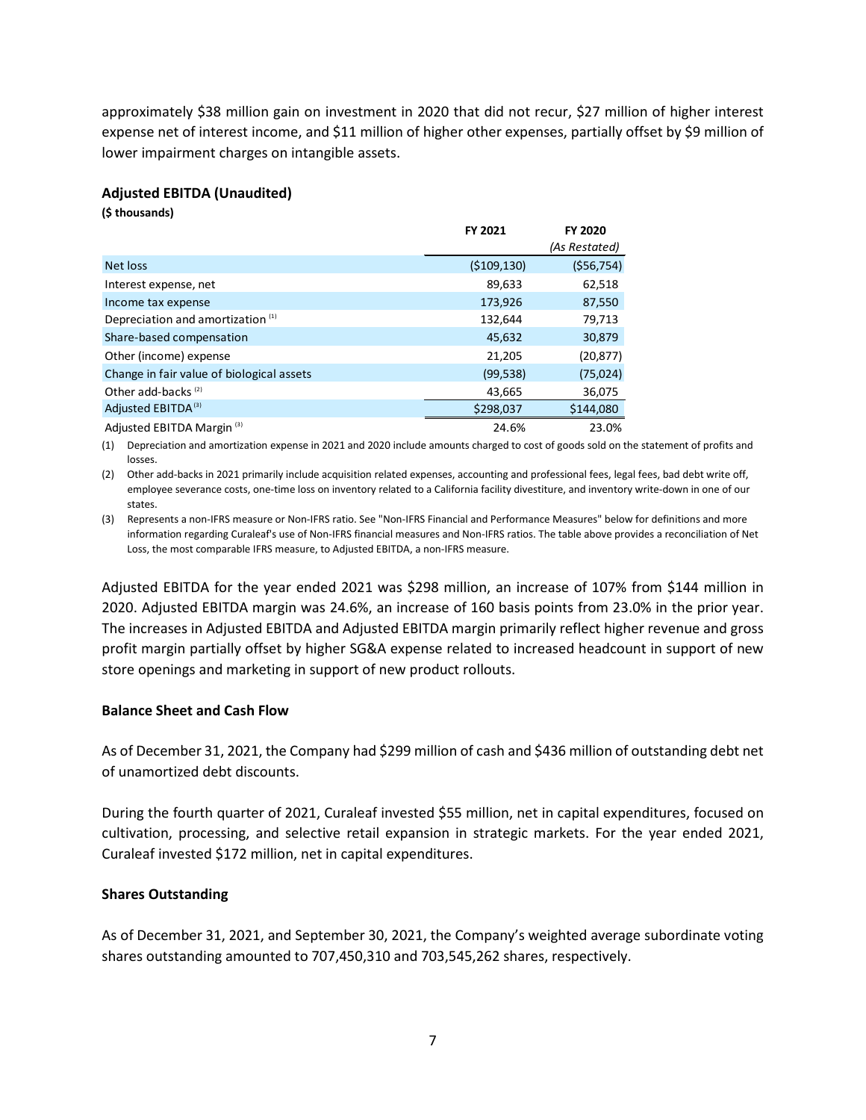approximately \$38 million gain on investment in 2020 that did not recur, \$27 million of higher interest expense net of interest income, and \$11 million of higher other expenses, partially offset by \$9 million of lower impairment charges on intangible assets.

### **Adjusted EBITDA (Unaudited)**

**(\$ thousands)**

|                                              | FY 2021       | <b>FY 2020</b> |
|----------------------------------------------|---------------|----------------|
|                                              |               | (As Restated)  |
| Net loss                                     | ( \$109, 130) | ( \$56,754)    |
| Interest expense, net                        | 89,633        | 62,518         |
| Income tax expense                           | 173,926       | 87,550         |
| Depreciation and amortization <sup>(1)</sup> | 132,644       | 79,713         |
| Share-based compensation                     | 45,632        | 30,879         |
| Other (income) expense                       | 21,205        | (20, 877)      |
| Change in fair value of biological assets    | (99, 538)     | (75, 024)      |
| Other add-backs <sup>(2)</sup>               | 43,665        | 36,075         |
| Adjusted EBITDA <sup>(3)</sup>               | \$298,037     | \$144,080      |
| Adjusted EBITDA Margin <sup>(3)</sup>        | 24.6%         | 23.0%          |

(1) Depreciation and amortization expense in 2021 and 2020 include amounts charged to cost of goods sold on the statement of profits and losses.

(2) Other add-backs in 2021 primarily include acquisition related expenses, accounting and professional fees, legal fees, bad debt write off, employee severance costs, one-time loss on inventory related to a California facility divestiture, and inventory write-down in one of our states.

(3) Represents a non-IFRS measure or Non-IFRS ratio. See "Non-IFRS Financial and Performance Measures" below for definitions and more information regarding Curaleaf's use of Non-IFRS financial measures and Non-IFRS ratios. The table above provides a reconciliation of Net Loss, the most comparable IFRS measure, to Adjusted EBITDA, a non-IFRS measure.

Adjusted EBITDA for the year ended 2021 was \$298 million, an increase of 107% from \$144 million in 2020. Adjusted EBITDA margin was 24.6%, an increase of 160 basis points from 23.0% in the prior year. The increases in Adjusted EBITDA and Adjusted EBITDA margin primarily reflect higher revenue and gross profit margin partially offset by higher SG&A expense related to increased headcount in support of new store openings and marketing in support of new product rollouts.

#### **Balance Sheet and Cash Flow**

As of December 31, 2021, the Company had \$299 million of cash and \$436 million of outstanding debt net of unamortized debt discounts.

During the fourth quarter of 2021, Curaleaf invested \$55 million, net in capital expenditures, focused on cultivation, processing, and selective retail expansion in strategic markets. For the year ended 2021, Curaleaf invested \$172 million, net in capital expenditures.

### **Shares Outstanding**

As of December 31, 2021, and September 30, 2021, the Company's weighted average subordinate voting shares outstanding amounted to 707,450,310 and 703,545,262 shares, respectively.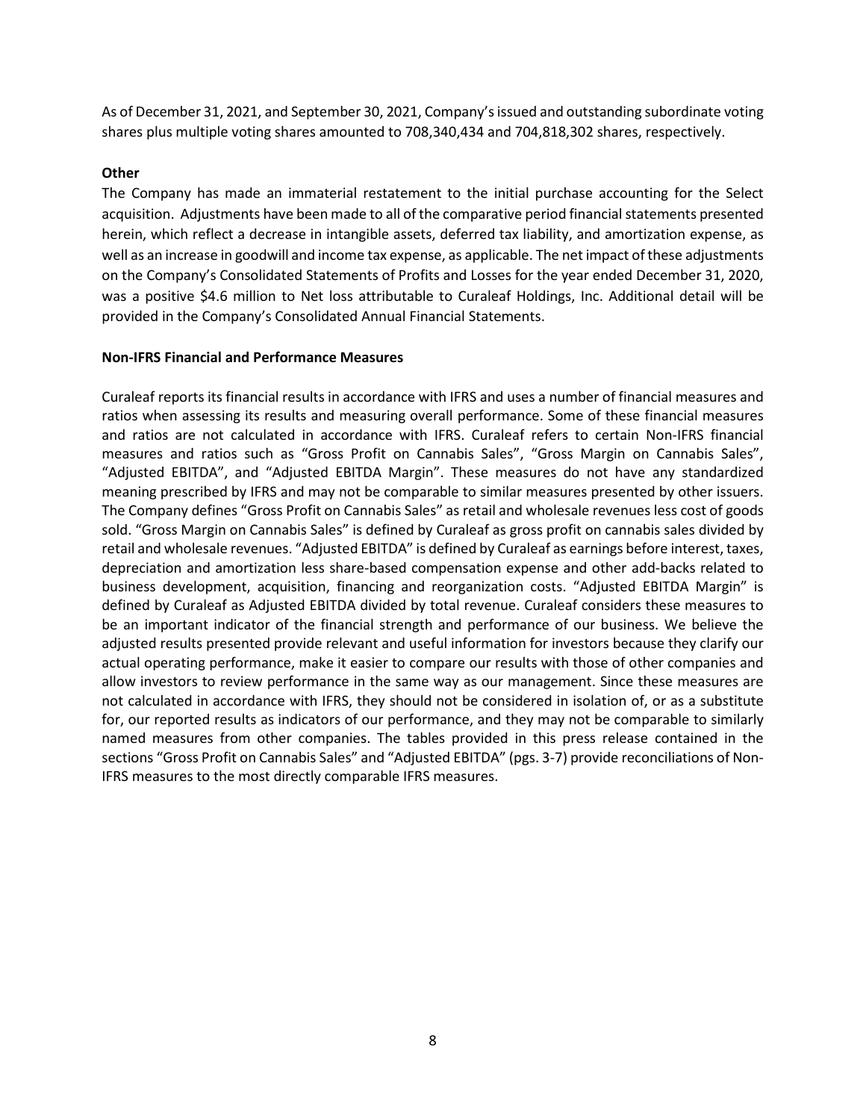As of December 31, 2021, and September 30, 2021, Company'sissued and outstanding subordinate voting shares plus multiple voting shares amounted to 708,340,434 and 704,818,302 shares, respectively.

# **Other**

The Company has made an immaterial restatement to the initial purchase accounting for the Select acquisition. Adjustments have been made to all of the comparative period financial statements presented herein, which reflect a decrease in intangible assets, deferred tax liability, and amortization expense, as well as an increase in goodwill and income tax expense, as applicable. The net impact of these adjustments on the Company's Consolidated Statements of Profits and Losses for the year ended December 31, 2020, was a positive \$4.6 million to Net loss attributable to Curaleaf Holdings, Inc. Additional detail will be provided in the Company's Consolidated Annual Financial Statements.

### **Non-IFRS Financial and Performance Measures**

Curaleaf reports its financial results in accordance with IFRS and uses a number of financial measures and ratios when assessing its results and measuring overall performance. Some of these financial measures and ratios are not calculated in accordance with IFRS. Curaleaf refers to certain Non-IFRS financial measures and ratios such as "Gross Profit on Cannabis Sales", "Gross Margin on Cannabis Sales", "Adjusted EBITDA", and "Adjusted EBITDA Margin". These measures do not have any standardized meaning prescribed by IFRS and may not be comparable to similar measures presented by other issuers. The Company defines "Gross Profit on Cannabis Sales" as retail and wholesale revenues less cost of goods sold. "Gross Margin on Cannabis Sales" is defined by Curaleaf as gross profit on cannabis sales divided by retail and wholesale revenues. "Adjusted EBITDA" is defined by Curaleaf as earnings before interest, taxes, depreciation and amortization less share-based compensation expense and other add-backs related to business development, acquisition, financing and reorganization costs. "Adjusted EBITDA Margin" is defined by Curaleaf as Adjusted EBITDA divided by total revenue. Curaleaf considers these measures to be an important indicator of the financial strength and performance of our business. We believe the adjusted results presented provide relevant and useful information for investors because they clarify our actual operating performance, make it easier to compare our results with those of other companies and allow investors to review performance in the same way as our management. Since these measures are not calculated in accordance with IFRS, they should not be considered in isolation of, or as a substitute for, our reported results as indicators of our performance, and they may not be comparable to similarly named measures from other companies. The tables provided in this press release contained in the sections "Gross Profit on Cannabis Sales" and "Adjusted EBITDA" (pgs. 3-7) provide reconciliations of Non-IFRS measures to the most directly comparable IFRS measures.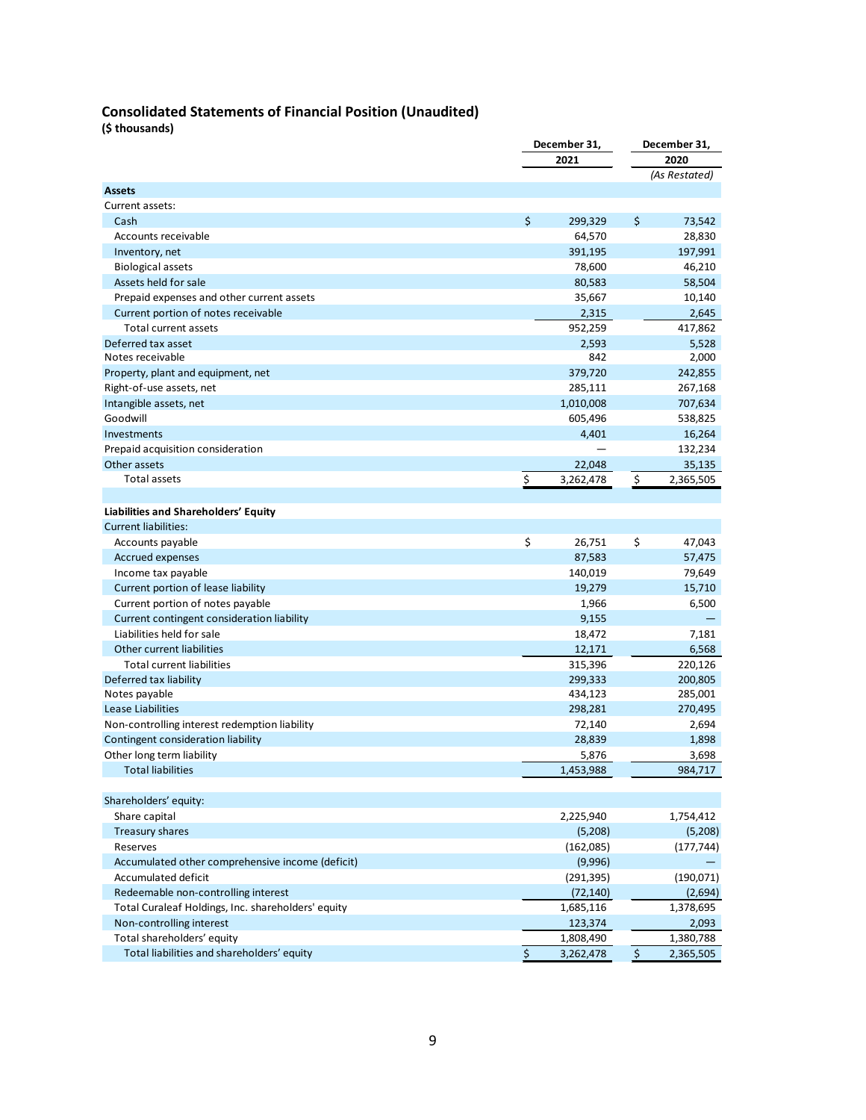# **Consolidated Statements of Financial Position (Unaudited)**

**(\$ thousands)**

|                                                                          | December 31,    |               | December 31,  |  |
|--------------------------------------------------------------------------|-----------------|---------------|---------------|--|
|                                                                          | 2021            |               | 2020          |  |
|                                                                          |                 |               | (As Restated) |  |
| <b>Assets</b>                                                            |                 |               |               |  |
| Current assets:                                                          |                 |               |               |  |
| Cash                                                                     | \$<br>299,329   | \$            | 73,542        |  |
| Accounts receivable                                                      | 64,570          |               | 28,830        |  |
| Inventory, net                                                           | 391,195         |               | 197,991       |  |
| <b>Biological assets</b>                                                 | 78,600          |               | 46,210        |  |
| Assets held for sale                                                     | 80,583          |               | 58,504        |  |
| Prepaid expenses and other current assets                                | 35,667          |               | 10,140        |  |
| Current portion of notes receivable                                      | 2,315           |               | 2,645         |  |
| <b>Total current assets</b>                                              | 952,259         |               | 417,862       |  |
| Deferred tax asset                                                       | 2,593           |               | 5,528         |  |
| Notes receivable                                                         | 842             |               | 2,000         |  |
| Property, plant and equipment, net                                       | 379,720         |               | 242,855       |  |
| Right-of-use assets, net                                                 | 285,111         |               | 267,168       |  |
| Intangible assets, net                                                   | 1,010,008       |               | 707,634       |  |
| Goodwill                                                                 | 605,496         |               | 538,825       |  |
| Investments                                                              | 4,401           |               | 16,264        |  |
| Prepaid acquisition consideration                                        |                 |               | 132,234       |  |
| Other assets                                                             | 22,048          |               | 35,135        |  |
| <b>Total assets</b>                                                      | \$<br>3,262,478 | $\frac{1}{2}$ | 2,365,505     |  |
|                                                                          |                 |               |               |  |
| Liabilities and Shareholders' Equity                                     |                 |               |               |  |
| <b>Current liabilities:</b>                                              |                 |               |               |  |
| Accounts payable                                                         | \$<br>26,751    | \$            | 47,043        |  |
| Accrued expenses                                                         | 87,583          |               | 57,475        |  |
| Income tax payable                                                       | 140,019         |               | 79,649        |  |
| Current portion of lease liability                                       | 19,279          |               | 15,710        |  |
| Current portion of notes payable                                         | 1,966           |               | 6,500         |  |
| Current contingent consideration liability                               | 9,155           |               |               |  |
| Liabilities held for sale                                                | 18,472          |               | 7,181         |  |
| Other current liabilities                                                | 12,171          |               | 6,568         |  |
| <b>Total current liabilities</b>                                         | 315,396         |               | 220,126       |  |
| Deferred tax liability                                                   | 299,333         |               | 200,805       |  |
| Notes payable                                                            | 434,123         |               | 285,001       |  |
| Lease Liabilities                                                        | 298,281         |               | 270,495       |  |
| Non-controlling interest redemption liability                            | 72,140          |               | 2,694         |  |
| Contingent consideration liability                                       | 28,839          |               | 1,898         |  |
| Other long term liability                                                | 5,876           |               | 3,698         |  |
| <b>Total liabilities</b>                                                 | 1,453,988       |               | 984,717       |  |
|                                                                          |                 |               |               |  |
| Shareholders' equity:                                                    |                 |               |               |  |
| Share capital                                                            | 2,225,940       |               | 1,754,412     |  |
| Treasury shares                                                          | (5,208)         |               | (5,208)       |  |
| Reserves                                                                 | (162,085)       |               | (177, 744)    |  |
| Accumulated other comprehensive income (deficit)                         | (9,996)         |               |               |  |
| Accumulated deficit                                                      | (291, 395)      |               | (190, 071)    |  |
| Redeemable non-controlling interest                                      | (72, 140)       |               | (2,694)       |  |
| Total Curaleaf Holdings, Inc. shareholders' equity                       | 1,685,116       |               | 1,378,695     |  |
| Non-controlling interest                                                 | 123,374         |               | 2,093         |  |
| Total shareholders' equity<br>Total liabilities and shareholders' equity | 1,808,490       |               | 1,380,788     |  |
|                                                                          | \$<br>3,262,478 | \$            | 2,365,505     |  |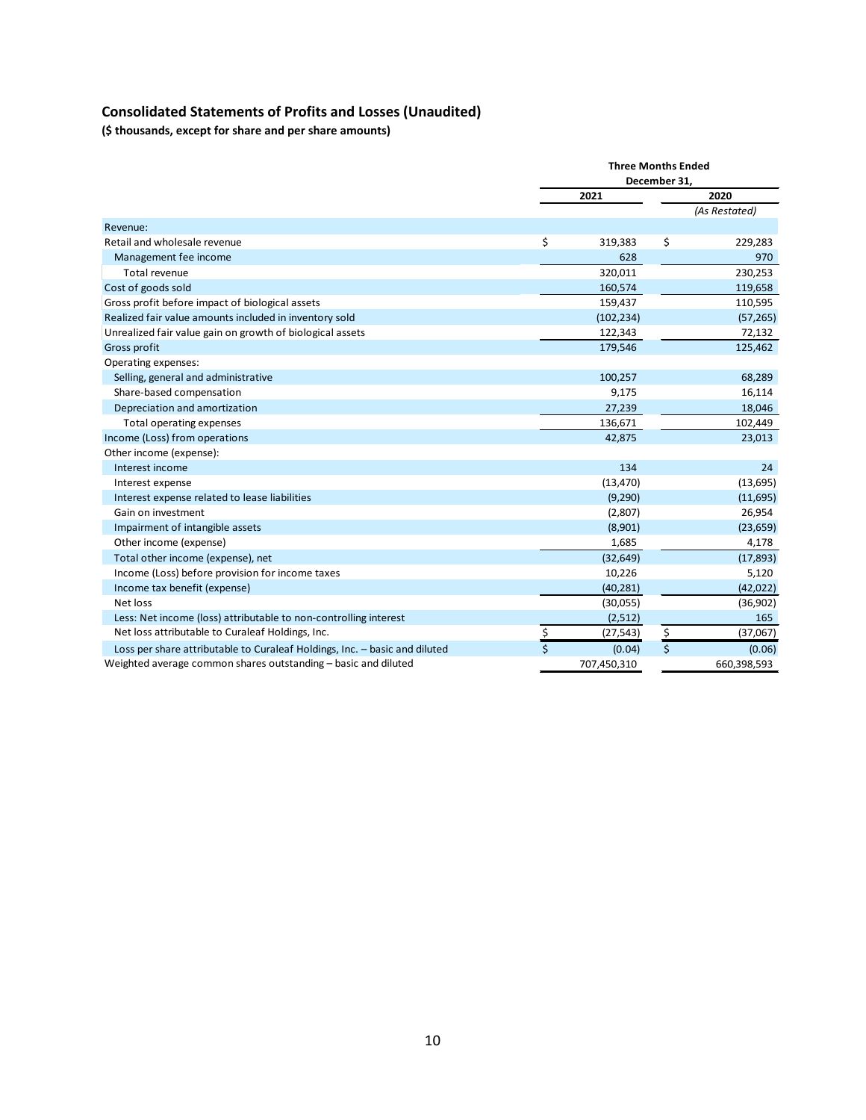# **Consolidated Statements of Profits and Losses (Unaudited)**

**(\$ thousands, except for share and per share amounts)**

|                                                                            |                    | <b>Three Months Ended</b> |    |               |  |      |
|----------------------------------------------------------------------------|--------------------|---------------------------|----|---------------|--|------|
|                                                                            |                    | December 31,              |    |               |  |      |
|                                                                            |                    | 2021                      |    |               |  | 2020 |
|                                                                            |                    |                           |    | (As Restated) |  |      |
| Revenue:                                                                   |                    |                           |    |               |  |      |
| Retail and wholesale revenue                                               | \$                 | 319,383                   | \$ | 229,283       |  |      |
| Management fee income                                                      |                    | 628                       |    | 970           |  |      |
| <b>Total revenue</b>                                                       |                    | 320,011                   |    | 230,253       |  |      |
| Cost of goods sold                                                         |                    | 160,574                   |    | 119,658       |  |      |
| Gross profit before impact of biological assets                            |                    | 159,437                   |    | 110,595       |  |      |
| Realized fair value amounts included in inventory sold                     |                    | (102, 234)                |    | (57, 265)     |  |      |
| Unrealized fair value gain on growth of biological assets                  |                    | 122,343                   |    | 72,132        |  |      |
| Gross profit                                                               |                    | 179,546                   |    | 125,462       |  |      |
| Operating expenses:                                                        |                    |                           |    |               |  |      |
| Selling, general and administrative                                        |                    | 100,257                   |    | 68,289        |  |      |
| Share-based compensation                                                   |                    | 9,175                     |    | 16,114        |  |      |
| Depreciation and amortization                                              |                    | 27,239                    |    | 18,046        |  |      |
| Total operating expenses                                                   |                    | 136,671                   |    | 102,449       |  |      |
| Income (Loss) from operations                                              |                    | 42,875                    |    | 23,013        |  |      |
| Other income (expense):                                                    |                    |                           |    |               |  |      |
| Interest income                                                            |                    | 134                       |    | 24            |  |      |
| Interest expense                                                           |                    | (13, 470)                 |    | (13, 695)     |  |      |
| Interest expense related to lease liabilities                              |                    | (9,290)                   |    | (11,695)      |  |      |
| Gain on investment                                                         |                    | (2,807)                   |    | 26,954        |  |      |
| Impairment of intangible assets                                            |                    | (8,901)                   |    | (23, 659)     |  |      |
| Other income (expense)                                                     |                    | 1,685                     |    | 4,178         |  |      |
| Total other income (expense), net                                          |                    | (32, 649)                 |    | (17, 893)     |  |      |
| Income (Loss) before provision for income taxes                            |                    | 10,226                    |    | 5,120         |  |      |
| Income tax benefit (expense)                                               |                    | (40, 281)                 |    | (42, 022)     |  |      |
| Net loss                                                                   |                    | (30,055)                  |    | (36,902)      |  |      |
| Less: Net income (loss) attributable to non-controlling interest           |                    | (2,512)                   |    | 165           |  |      |
| Net loss attributable to Curaleaf Holdings, Inc.                           | \$                 | (27, 543)                 | \$ | (37,067)      |  |      |
| Loss per share attributable to Curaleaf Holdings, Inc. - basic and diluted | $\mathsf{\dot{S}}$ | (0.04)                    | \$ | (0.06)        |  |      |
| Weighted average common shares outstanding – basic and diluted             |                    | 707,450,310               |    | 660,398,593   |  |      |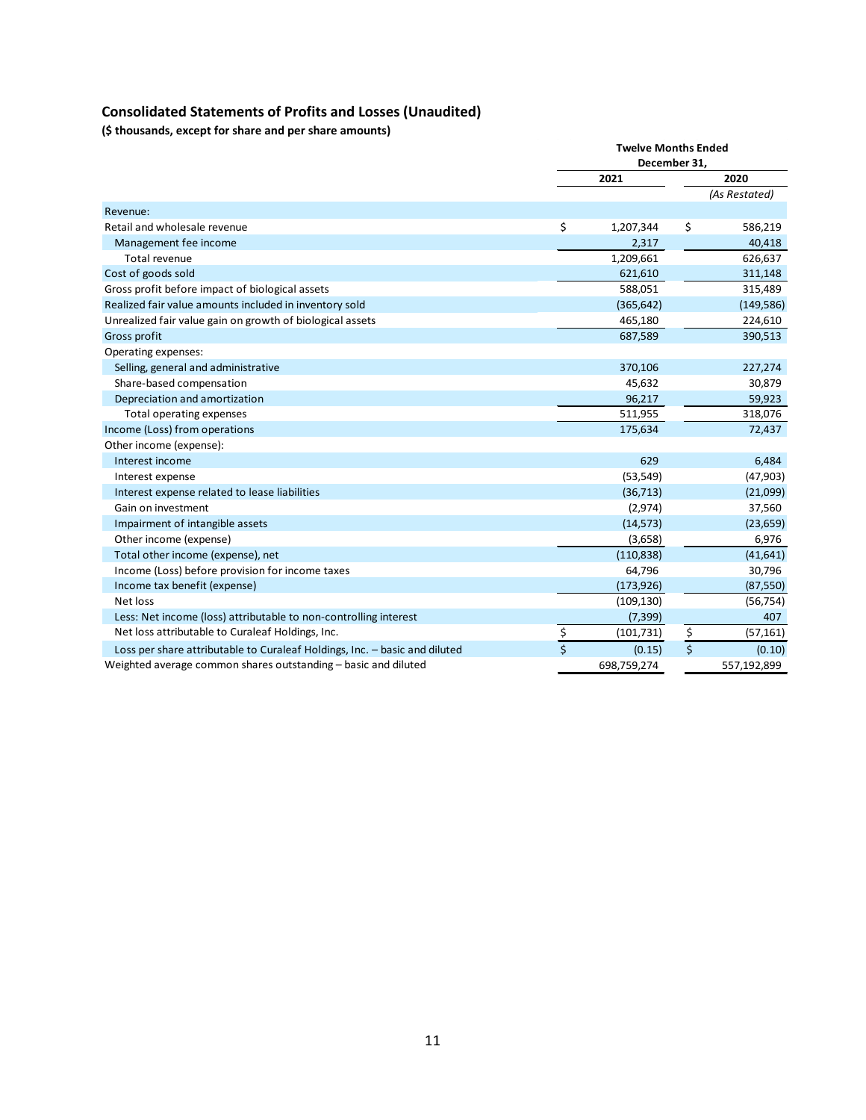# **Consolidated Statements of Profits and Losses (Unaudited)**

**(\$ thousands, except for share and per share amounts)**

|                                                                            | <b>Twelve Months Ended</b><br>December 31, |             |                         |               |
|----------------------------------------------------------------------------|--------------------------------------------|-------------|-------------------------|---------------|
|                                                                            |                                            |             |                         |               |
|                                                                            |                                            | 2021        |                         | 2020          |
|                                                                            |                                            |             |                         | (As Restated) |
| Revenue:                                                                   |                                            |             |                         |               |
| Retail and wholesale revenue                                               | \$                                         | 1,207,344   | \$                      | 586,219       |
| Management fee income                                                      |                                            | 2,317       |                         | 40,418        |
| Total revenue                                                              |                                            | 1,209,661   |                         | 626,637       |
| Cost of goods sold                                                         |                                            | 621,610     |                         | 311,148       |
| Gross profit before impact of biological assets                            |                                            | 588,051     |                         | 315,489       |
| Realized fair value amounts included in inventory sold                     |                                            | (365, 642)  |                         | (149, 586)    |
| Unrealized fair value gain on growth of biological assets                  |                                            | 465,180     |                         | 224,610       |
| Gross profit                                                               |                                            | 687,589     |                         | 390,513       |
| Operating expenses:                                                        |                                            |             |                         |               |
| Selling, general and administrative                                        |                                            | 370,106     |                         | 227,274       |
| Share-based compensation                                                   |                                            | 45,632      |                         | 30,879        |
| Depreciation and amortization                                              |                                            | 96,217      |                         | 59,923        |
| Total operating expenses                                                   |                                            | 511,955     |                         | 318,076       |
| Income (Loss) from operations                                              |                                            | 175,634     |                         | 72,437        |
| Other income (expense):                                                    |                                            |             |                         |               |
| Interest income                                                            |                                            | 629         |                         | 6,484         |
| Interest expense                                                           |                                            | (53, 549)   |                         | (47,903)      |
| Interest expense related to lease liabilities                              |                                            | (36, 713)   |                         | (21,099)      |
| Gain on investment                                                         |                                            | (2,974)     |                         | 37,560        |
| Impairment of intangible assets                                            |                                            | (14, 573)   |                         | (23, 659)     |
| Other income (expense)                                                     |                                            | (3,658)     |                         | 6,976         |
| Total other income (expense), net                                          |                                            | (110, 838)  |                         | (41, 641)     |
| Income (Loss) before provision for income taxes                            |                                            | 64,796      |                         | 30,796        |
| Income tax benefit (expense)                                               |                                            | (173, 926)  |                         | (87, 550)     |
| Net loss                                                                   |                                            | (109, 130)  |                         | (56, 754)     |
| Less: Net income (loss) attributable to non-controlling interest           |                                            | (7, 399)    |                         | 407           |
| Net loss attributable to Curaleaf Holdings, Inc.                           |                                            | (101, 731)  | \$                      | (57, 161)     |
| Loss per share attributable to Curaleaf Holdings, Inc. - basic and diluted | $rac{5}{5}$                                | (0.15)      | $\overline{\mathsf{S}}$ | (0.10)        |
| Weighted average common shares outstanding – basic and diluted             |                                            | 698,759,274 |                         | 557,192,899   |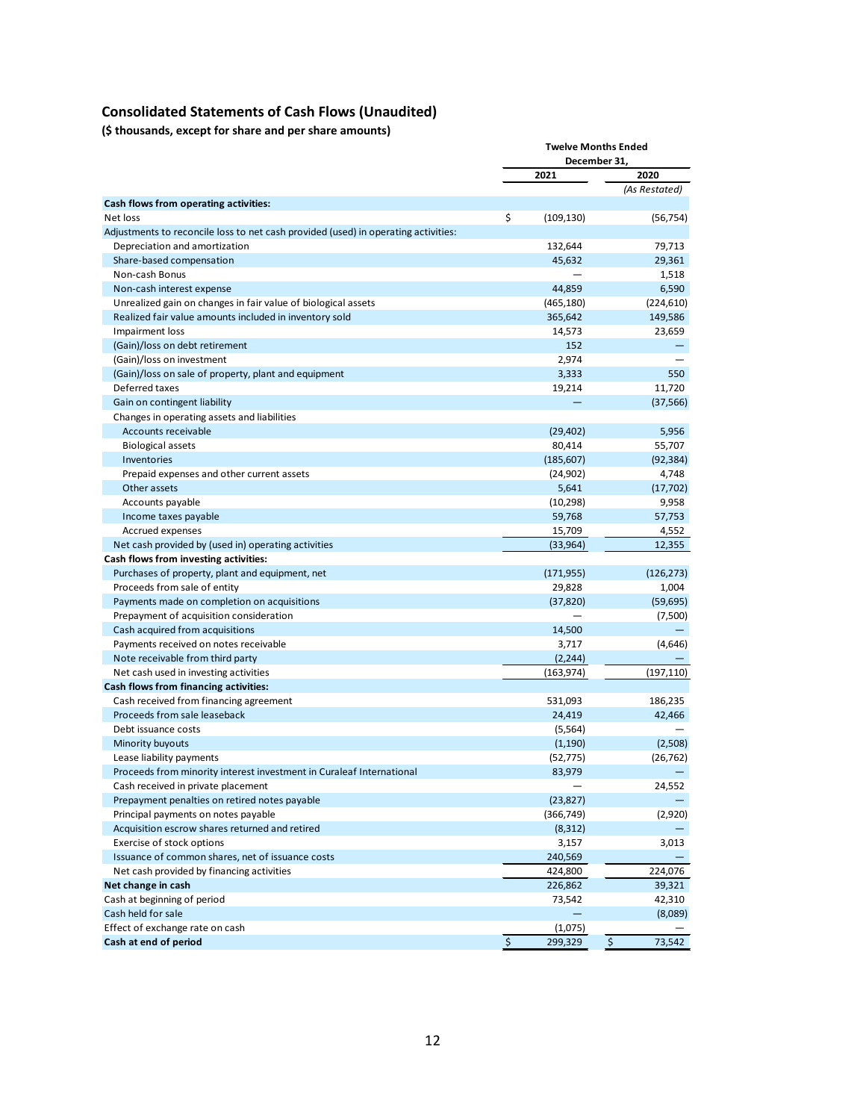# **Consolidated Statements of Cash Flows (Unaudited)**

**(\$ thousands, except for share and per share amounts)**

|                                                                                    | <b>Twelve Months Ended</b><br>December 31, |            |               |               |
|------------------------------------------------------------------------------------|--------------------------------------------|------------|---------------|---------------|
|                                                                                    |                                            |            |               |               |
|                                                                                    |                                            | 2021       |               | 2020          |
|                                                                                    |                                            |            |               | (As Restated) |
| Cash flows from operating activities:                                              |                                            |            |               |               |
| Net loss                                                                           | \$                                         | (109, 130) |               | (56, 754)     |
| Adjustments to reconcile loss to net cash provided (used) in operating activities: |                                            |            |               |               |
| Depreciation and amortization                                                      |                                            | 132,644    |               | 79,713        |
| Share-based compensation                                                           |                                            | 45,632     |               | 29,361        |
| Non-cash Bonus                                                                     |                                            |            |               | 1,518         |
| Non-cash interest expense                                                          |                                            | 44.859     |               | 6,590         |
| Unrealized gain on changes in fair value of biological assets                      |                                            | (465, 180) |               | (224, 610)    |
| Realized fair value amounts included in inventory sold                             |                                            | 365,642    |               | 149,586       |
| Impairment loss                                                                    |                                            | 14,573     |               | 23,659        |
| (Gain)/loss on debt retirement                                                     |                                            | 152        |               |               |
| (Gain)/loss on investment                                                          |                                            | 2,974      |               |               |
| (Gain)/loss on sale of property, plant and equipment                               |                                            | 3,333      |               | 550           |
| Deferred taxes                                                                     |                                            | 19,214     |               | 11,720        |
| Gain on contingent liability                                                       |                                            |            |               | (37, 566)     |
| Changes in operating assets and liabilities                                        |                                            |            |               |               |
| Accounts receivable                                                                |                                            | (29, 402)  |               | 5,956         |
| <b>Biological assets</b>                                                           |                                            | 80,414     |               | 55,707        |
| Inventories                                                                        |                                            | (185, 607) |               | (92, 384)     |
| Prepaid expenses and other current assets                                          |                                            | (24, 902)  |               | 4,748         |
| Other assets                                                                       |                                            | 5,641      |               | (17, 702)     |
| Accounts payable                                                                   |                                            | (10, 298)  |               | 9,958         |
| Income taxes payable                                                               |                                            | 59,768     |               | 57,753        |
| Accrued expenses                                                                   |                                            | 15,709     |               | 4,552         |
| Net cash provided by (used in) operating activities                                |                                            | (33, 964)  |               | 12,355        |
| Cash flows from investing activities:                                              |                                            |            |               |               |
| Purchases of property, plant and equipment, net                                    |                                            | (171, 955) |               | (126, 273)    |
| Proceeds from sale of entity                                                       |                                            | 29,828     |               | 1,004         |
| Payments made on completion on acquisitions                                        |                                            | (37, 820)  |               | (59, 695)     |
| Prepayment of acquisition consideration                                            |                                            |            |               | (7,500)       |
| Cash acquired from acquisitions                                                    |                                            | 14,500     |               |               |
| Payments received on notes receivable                                              |                                            | 3,717      |               | (4,646)       |
| Note receivable from third party                                                   |                                            | (2, 244)   |               |               |
| Net cash used in investing activities                                              |                                            | (163,974)  |               | (197, 110)    |
| Cash flows from financing activities:                                              |                                            |            |               |               |
| Cash received from financing agreement                                             |                                            | 531,093    |               | 186,235       |
| Proceeds from sale leaseback                                                       |                                            | 24,419     |               | 42,466        |
| Debt issuance costs                                                                |                                            | (5, 564)   |               |               |
| Minority buyouts                                                                   |                                            | (1, 190)   |               | (2,508)       |
| Lease liability payments                                                           |                                            | (52, 775)  |               | (26, 762)     |
| Proceeds from minority interest investment in Curaleaf International               |                                            | 83,979     |               |               |
| Cash received in private placement                                                 |                                            |            |               | 24,552        |
| Prepayment penalties on retired notes payable                                      |                                            | (23, 827)  |               |               |
| Principal payments on notes payable                                                |                                            | (366, 749) |               | (2,920)       |
| Acquisition escrow shares returned and retired                                     |                                            | (8, 312)   |               |               |
| Exercise of stock options                                                          |                                            | 3,157      |               | 3,013         |
| Issuance of common shares, net of issuance costs                                   |                                            | 240,569    |               |               |
| Net cash provided by financing activities                                          |                                            | 424,800    |               | 224,076       |
| Net change in cash                                                                 |                                            | 226,862    |               | 39,321        |
| Cash at beginning of period                                                        |                                            | 73,542     |               | 42,310        |
| Cash held for sale                                                                 |                                            |            |               | (8,089)       |
| Effect of exchange rate on cash                                                    |                                            | (1,075)    |               |               |
| Cash at end of period                                                              | $\boldsymbol{\mathsf{S}}$                  | 299,329    | $\frac{1}{2}$ | 73,542        |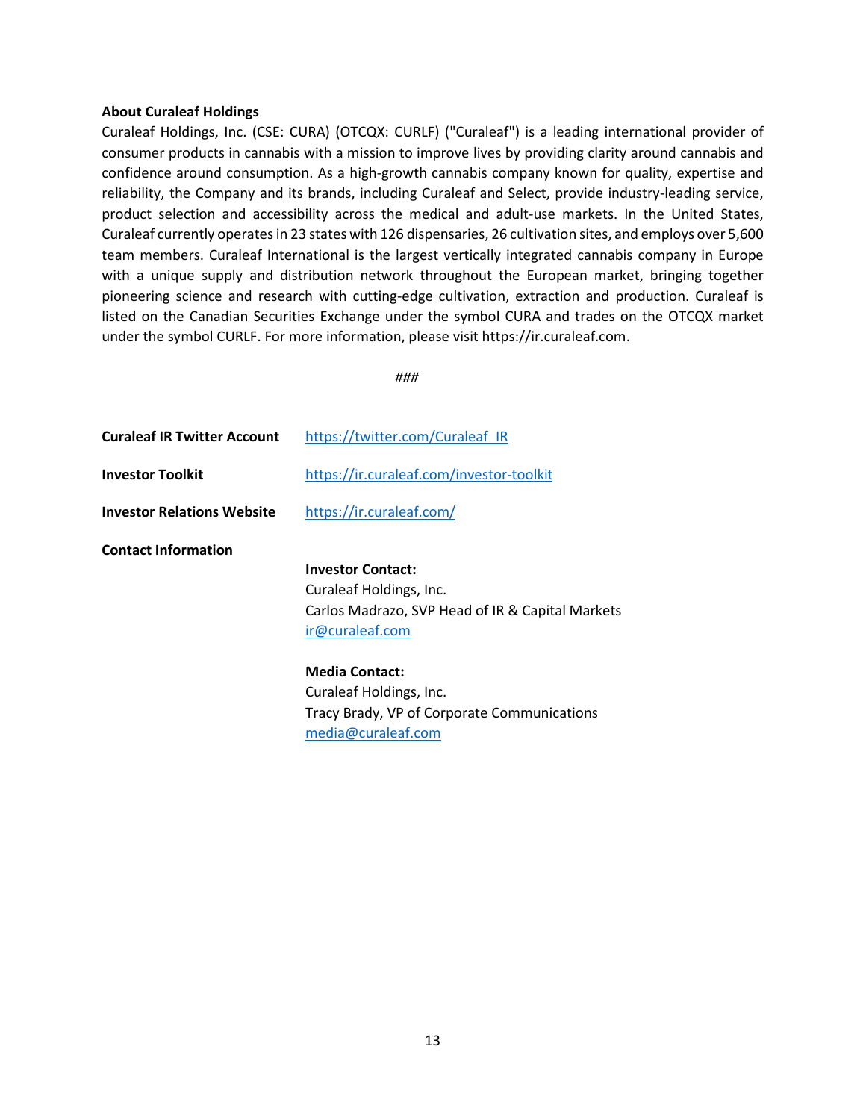#### **About Curaleaf Holdings**

Curaleaf Holdings, Inc. (CSE: CURA) (OTCQX: CURLF) ("Curaleaf") is a leading international provider of consumer products in cannabis with a mission to improve lives by providing clarity around cannabis and confidence around consumption. As a high-growth cannabis company known for quality, expertise and reliability, the Company and its brands, including Curaleaf and Select, provide industry-leading service, product selection and accessibility across the medical and adult-use markets. In the United States, Curaleaf currently operates in 23 states with 126 dispensaries, 26 cultivation sites, and employs over 5,600 team members. Curaleaf International is the largest vertically integrated cannabis company in Europe with a unique supply and distribution network throughout the European market, bringing together pioneering science and research with cutting-edge cultivation, extraction and production. Curaleaf is listed on the Canadian Securities Exchange under the symbol CURA and trades on the OTCQX market under the symbol CURLF. For more information, please visit https://ir.curaleaf.com.

*###*

| <b>Curaleaf IR Twitter Account</b> | https://twitter.com/Curaleaf IR                                                                                            |
|------------------------------------|----------------------------------------------------------------------------------------------------------------------------|
| <b>Investor Toolkit</b>            | https://ir.curaleaf.com/investor-toolkit                                                                                   |
| <b>Investor Relations Website</b>  | https://ir.curaleaf.com/                                                                                                   |
| <b>Contact Information</b>         | <b>Investor Contact:</b><br>Curaleaf Holdings, Inc.<br>Carlos Madrazo, SVP Head of IR & Capital Markets<br>ir@curaleaf.com |
|                                    | <b>Media Contact:</b><br>Curaleaf Holdings, Inc.<br>Tracy Brady, VP of Corporate Communications<br>media@curaleaf.com      |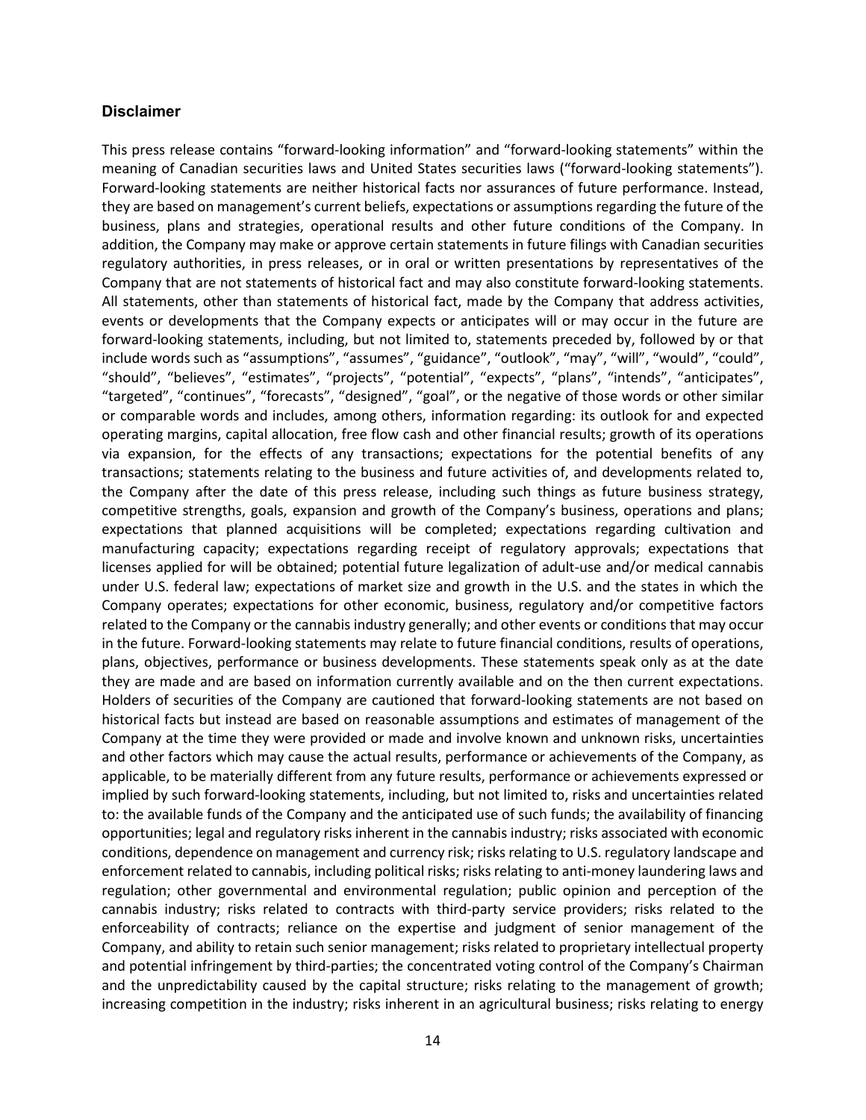#### **Disclaimer**

This press release contains "forward-looking information" and "forward-looking statements" within the meaning of Canadian securities laws and United States securities laws ("forward-looking statements"). Forward-looking statements are neither historical facts nor assurances of future performance. Instead, they are based on management's current beliefs, expectations or assumptions regarding the future of the business, plans and strategies, operational results and other future conditions of the Company. In addition, the Company may make or approve certain statements in future filings with Canadian securities regulatory authorities, in press releases, or in oral or written presentations by representatives of the Company that are not statements of historical fact and may also constitute forward-looking statements. All statements, other than statements of historical fact, made by the Company that address activities, events or developments that the Company expects or anticipates will or may occur in the future are forward-looking statements, including, but not limited to, statements preceded by, followed by or that include words such as "assumptions", "assumes", "guidance", "outlook", "may", "will", "would", "could", "should", "believes", "estimates", "projects", "potential", "expects", "plans", "intends", "anticipates", "targeted", "continues", "forecasts", "designed", "goal", or the negative of those words or other similar or comparable words and includes, among others, information regarding: its outlook for and expected operating margins, capital allocation, free flow cash and other financial results; growth of its operations via expansion, for the effects of any transactions; expectations for the potential benefits of any transactions; statements relating to the business and future activities of, and developments related to, the Company after the date of this press release, including such things as future business strategy, competitive strengths, goals, expansion and growth of the Company's business, operations and plans; expectations that planned acquisitions will be completed; expectations regarding cultivation and manufacturing capacity; expectations regarding receipt of regulatory approvals; expectations that licenses applied for will be obtained; potential future legalization of adult-use and/or medical cannabis under U.S. federal law; expectations of market size and growth in the U.S. and the states in which the Company operates; expectations for other economic, business, regulatory and/or competitive factors related to the Company or the cannabis industry generally; and other events or conditions that may occur in the future. Forward-looking statements may relate to future financial conditions, results of operations, plans, objectives, performance or business developments. These statements speak only as at the date they are made and are based on information currently available and on the then current expectations. Holders of securities of the Company are cautioned that forward-looking statements are not based on historical facts but instead are based on reasonable assumptions and estimates of management of the Company at the time they were provided or made and involve known and unknown risks, uncertainties and other factors which may cause the actual results, performance or achievements of the Company, as applicable, to be materially different from any future results, performance or achievements expressed or implied by such forward-looking statements, including, but not limited to, risks and uncertainties related to: the available funds of the Company and the anticipated use of such funds; the availability of financing opportunities; legal and regulatory risks inherent in the cannabis industry; risks associated with economic conditions, dependence on management and currency risk; risks relating to U.S. regulatory landscape and enforcement related to cannabis, including political risks; risks relating to anti-money laundering laws and regulation; other governmental and environmental regulation; public opinion and perception of the cannabis industry; risks related to contracts with third-party service providers; risks related to the enforceability of contracts; reliance on the expertise and judgment of senior management of the Company, and ability to retain such senior management; risks related to proprietary intellectual property and potential infringement by third-parties; the concentrated voting control of the Company's Chairman and the unpredictability caused by the capital structure; risks relating to the management of growth; increasing competition in the industry; risks inherent in an agricultural business; risks relating to energy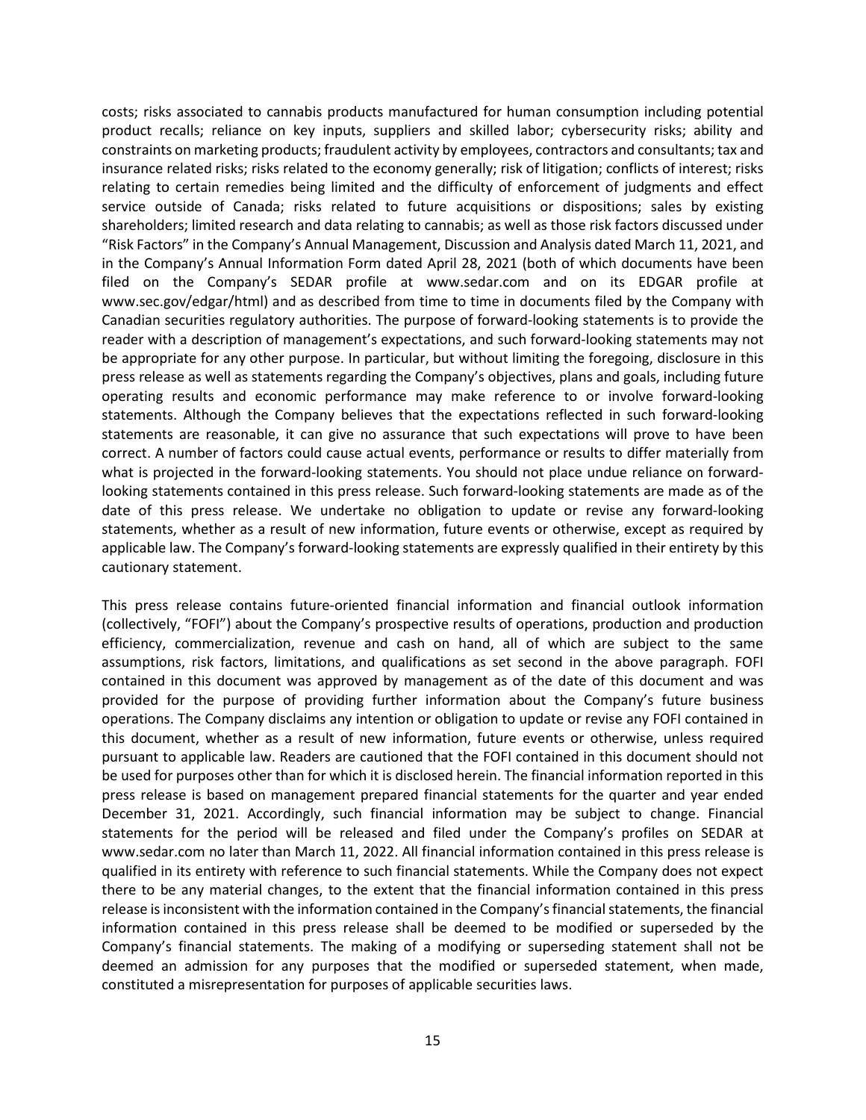costs; risks associated to cannabis products manufactured for human consumption including potential product recalls; reliance on key inputs, suppliers and skilled labor; cybersecurity risks; ability and constraints on marketing products; fraudulent activity by employees, contractors and consultants; tax and insurance related risks; risks related to the economy generally; risk of litigation; conflicts of interest; risks relating to certain remedies being limited and the difficulty of enforcement of judgments and effect service outside of Canada; risks related to future acquisitions or dispositions; sales by existing shareholders; limited research and data relating to cannabis; as well as those risk factors discussed under "Risk Factors" in the Company's Annual Management, Discussion and Analysis dated March 11, 2021, and in the Company's Annual Information Form dated April 28, 2021 (both of which documents have been filed on the Company's SEDAR profile at www.sedar.com and on its EDGAR profile at www.sec.gov/edgar/html) and as described from time to time in documents filed by the Company with Canadian securities regulatory authorities. The purpose of forward-looking statements is to provide the reader with a description of management's expectations, and such forward-looking statements may not be appropriate for any other purpose. In particular, but without limiting the foregoing, disclosure in this press release as well as statements regarding the Company's objectives, plans and goals, including future operating results and economic performance may make reference to or involve forward-looking statements. Although the Company believes that the expectations reflected in such forward-looking statements are reasonable, it can give no assurance that such expectations will prove to have been correct. A number of factors could cause actual events, performance or results to differ materially from what is projected in the forward-looking statements. You should not place undue reliance on forwardlooking statements contained in this press release. Such forward-looking statements are made as of the date of this press release. We undertake no obligation to update or revise any forward-looking statements, whether as a result of new information, future events or otherwise, except as required by applicable law. The Company's forward-looking statements are expressly qualified in their entirety by this cautionary statement.

This press release contains future-oriented financial information and financial outlook information (collectively, "FOFI") about the Company's prospective results of operations, production and production efficiency, commercialization, revenue and cash on hand, all of which are subject to the same assumptions, risk factors, limitations, and qualifications as set second in the above paragraph. FOFI contained in this document was approved by management as of the date of this document and was provided for the purpose of providing further information about the Company's future business operations. The Company disclaims any intention or obligation to update or revise any FOFI contained in this document, whether as a result of new information, future events or otherwise, unless required pursuant to applicable law. Readers are cautioned that the FOFI contained in this document should not be used for purposes other than for which it is disclosed herein. The financial information reported in this press release is based on management prepared financial statements for the quarter and year ended December 31, 2021. Accordingly, such financial information may be subject to change. Financial statements for the period will be released and filed under the Company's profiles on SEDAR at www.sedar.com no later than March 11, 2022. All financial information contained in this press release is qualified in its entirety with reference to such financial statements. While the Company does not expect there to be any material changes, to the extent that the financial information contained in this press release is inconsistent with the information contained in the Company's financial statements, the financial information contained in this press release shall be deemed to be modified or superseded by the Company's financial statements. The making of a modifying or superseding statement shall not be deemed an admission for any purposes that the modified or superseded statement, when made, constituted a misrepresentation for purposes of applicable securities laws.